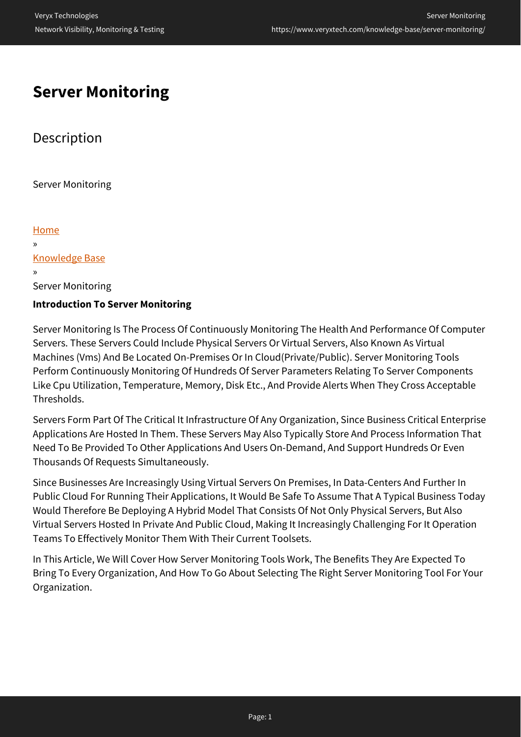# **Server Monitoring**

# **Description**

Server Monitoring

[Home](https://www.veryxtech.com) » [Knowledge Base](https://www.veryxtech.com/knowledge-base/) » Server Monitoring **Introduction To Server Monitoring**

Server Monitoring Is The Process Of Continuously Monitoring The Health And Performance Of Computer Servers. These Servers Could Include Physical Servers Or Virtual Servers, Also Known As Virtual Machines (Vms) And Be Located On-Premises Or In Cloud(Private/Public). Server Monitoring Tools Perform Continuously Monitoring Of Hundreds Of Server Parameters Relating To Server Components Like Cpu Utilization, Temperature, Memory, Disk Etc., And Provide Alerts When They Cross Acceptable Thresholds.

Servers Form Part Of The Critical It Infrastructure Of Any Organization, Since Business Critical Enterprise Applications Are Hosted In Them. These Servers May Also Typically Store And Process Information That Need To Be Provided To Other Applications And Users On-Demand, And Support Hundreds Or Even Thousands Of Requests Simultaneously.

Since Businesses Are Increasingly Using Virtual Servers On Premises, In Data-Centers And Further In Public Cloud For Running Their Applications, It Would Be Safe To Assume That A Typical Business Today Would Therefore Be Deploying A Hybrid Model That Consists Of Not Only Physical Servers, But Also Virtual Servers Hosted In Private And Public Cloud, Making It Increasingly Challenging For It Operation Teams To Effectively Monitor Them With Their Current Toolsets.

In This Article, We Will Cover How Server Monitoring Tools Work, The Benefits They Are Expected To Bring To Every Organization, And How To Go About Selecting The Right Server Monitoring Tool For Your Organization.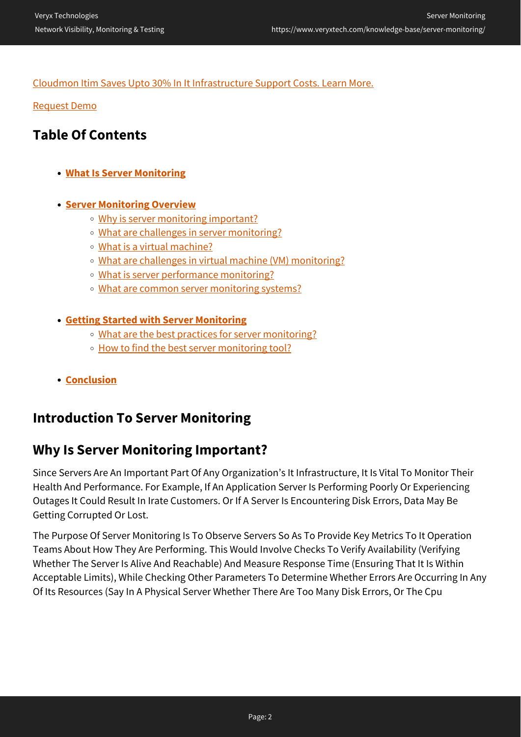### [Cloudmon Itim Saves Upto 30% In It Infrastructure Support Costs. Learn More.](https://www.veryxtech.com/#contact)

[Request Demo](https://www.veryxtech.com/#contact)

# **Table Of Contents**

**[What Is Server Monitoring](https://www.veryxtech.com/knowledge-base/server-monitoring/#definition)**

### **[Server Monitoring Overview](https://www.veryxtech.com/knowledge-base/server-monitoring/#overview)**

- o [Why is server monitoring important?](https://www.veryxtech.com/knowledge-base/server-monitoring/#imp)
- [What are challenges in server monitoring?](https://www.veryxtech.com/knowledge-base/server-monitoring/#challenges)
- [What is a virtual machine?](https://www.veryxtech.com/knowledge-base/server-monitoring/#vm)
- [What are challenges in virtual machine \(VM\) monitoring?](https://www.veryxtech.com/knowledge-base/server-monitoring/#vm-challenges)
- [What is server performance monitoring?](https://www.veryxtech.com/knowledge-base/server-monitoring/#performance)
- [What are common server monitoring systems?](https://www.veryxtech.com/knowledge-base/server-monitoring/#types)

#### **[Getting Started with Server Monitoring](https://www.veryxtech.com/knowledge-base/server-monitoring/#getting-started)**

- o [What are the best practices for server monitoring?](https://www.veryxtech.com/knowledge-base/server-monitoring/#best-practices)
- [How to find the best server monitoring tool?](https://www.veryxtech.com/knowledge-base/server-monitoring/#tool)
- **[Conclusion](https://www.veryxtech.com/knowledge-base/server-monitoring/#conclusion)**

# **Introduction To Server Monitoring**

# **Why Is Server Monitoring Important?**

Since Servers Are An Important Part Of Any Organization's It Infrastructure, It Is Vital To Monitor Their Health And Performance. For Example, If An Application Server Is Performing Poorly Or Experiencing Outages It Could Result In Irate Customers. Or If A Server Is Encountering Disk Errors, Data May Be Getting Corrupted Or Lost.

The Purpose Of Server Monitoring Is To Observe Servers So As To Provide Key Metrics To It Operation Teams About How They Are Performing. This Would Involve Checks To Verify Availability (Verifying Whether The Server Is Alive And Reachable) And Measure Response Time (Ensuring That It Is Within Acceptable Limits), While Checking Other Parameters To Determine Whether Errors Are Occurring In Any Of Its Resources (Say In A Physical Server Whether There Are Too Many Disk Errors, Or The Cpu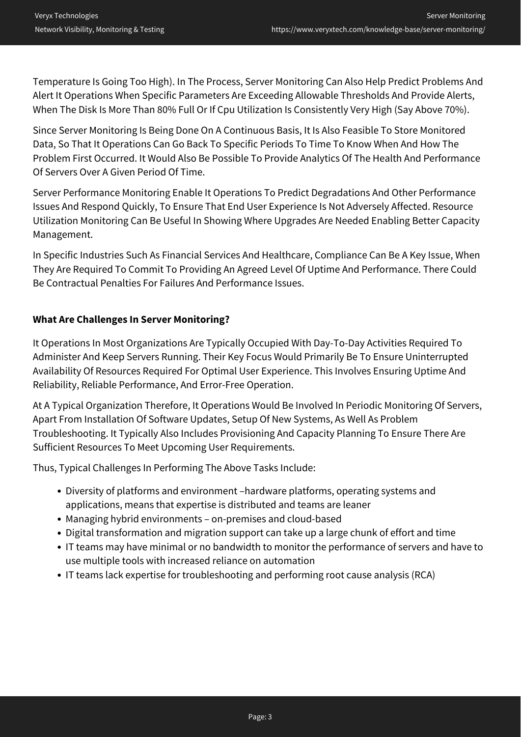Temperature Is Going Too High). In The Process, Server Monitoring Can Also Help Predict Problems And Alert It Operations When Specific Parameters Are Exceeding Allowable Thresholds And Provide Alerts, When The Disk Is More Than 80% Full Or If Cpu Utilization Is Consistently Very High (Say Above 70%).

Since Server Monitoring Is Being Done On A Continuous Basis, It Is Also Feasible To Store Monitored Data, So That It Operations Can Go Back To Specific Periods To Time To Know When And How The Problem First Occurred. It Would Also Be Possible To Provide Analytics Of The Health And Performance Of Servers Over A Given Period Of Time.

Server Performance Monitoring Enable It Operations To Predict Degradations And Other Performance Issues And Respond Quickly, To Ensure That End User Experience Is Not Adversely Affected. Resource Utilization Monitoring Can Be Useful In Showing Where Upgrades Are Needed Enabling Better Capacity Management.

In Specific Industries Such As Financial Services And Healthcare, Compliance Can Be A Key Issue, When They Are Required To Commit To Providing An Agreed Level Of Uptime And Performance. There Could Be Contractual Penalties For Failures And Performance Issues.

## **What Are Challenges In Server Monitoring?**

It Operations In Most Organizations Are Typically Occupied With Day-To-Day Activities Required To Administer And Keep Servers Running. Their Key Focus Would Primarily Be To Ensure Uninterrupted Availability Of Resources Required For Optimal User Experience. This Involves Ensuring Uptime And Reliability, Reliable Performance, And Error-Free Operation.

At A Typical Organization Therefore, It Operations Would Be Involved In Periodic Monitoring Of Servers, Apart From Installation Of Software Updates, Setup Of New Systems, As Well As Problem Troubleshooting. It Typically Also Includes Provisioning And Capacity Planning To Ensure There Are Sufficient Resources To Meet Upcoming User Requirements.

Thus, Typical Challenges In Performing The Above Tasks Include:

- Diversity of platforms and environment –hardware platforms, operating systems and applications, means that expertise is distributed and teams are leaner
- Managing hybrid environments on-premises and cloud-based
- Digital transformation and migration support can take up a large chunk of effort and time
- IT teams may have minimal or no bandwidth to monitor the performance of servers and have to use multiple tools with increased reliance on automation
- IT teams lack expertise for troubleshooting and performing root cause analysis (RCA)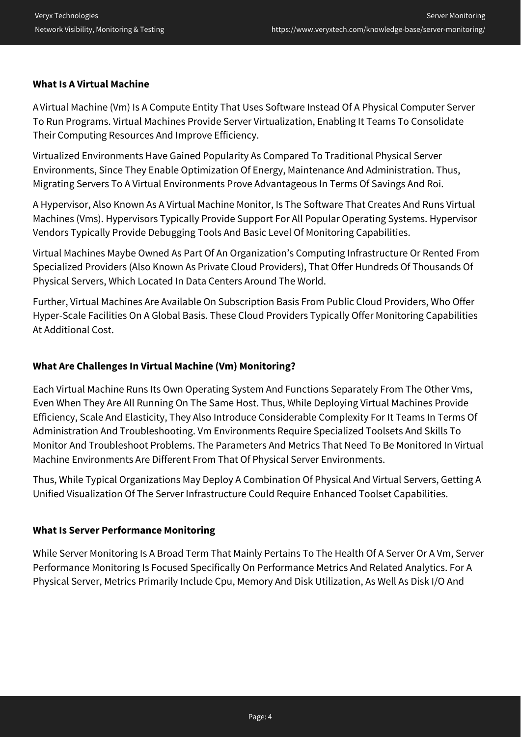#### **What Is A Virtual Machine**

A Virtual Machine (Vm) Is A Compute Entity That Uses Software Instead Of A Physical Computer Server To Run Programs. Virtual Machines Provide Server Virtualization, Enabling It Teams To Consolidate Their Computing Resources And Improve Efficiency.

Virtualized Environments Have Gained Popularity As Compared To Traditional Physical Server Environments, Since They Enable Optimization Of Energy, Maintenance And Administration. Thus, Migrating Servers To A Virtual Environments Prove Advantageous In Terms Of Savings And Roi.

A Hypervisor, Also Known As A Virtual Machine Monitor, Is The Software That Creates And Runs Virtual Machines (Vms). Hypervisors Typically Provide Support For All Popular Operating Systems. Hypervisor Vendors Typically Provide Debugging Tools And Basic Level Of Monitoring Capabilities.

Virtual Machines Maybe Owned As Part Of An Organization's Computing Infrastructure Or Rented From Specialized Providers (Also Known As Private Cloud Providers), That Offer Hundreds Of Thousands Of Physical Servers, Which Located In Data Centers Around The World.

Further, Virtual Machines Are Available On Subscription Basis From Public Cloud Providers, Who Offer Hyper-Scale Facilities On A Global Basis. These Cloud Providers Typically Offer Monitoring Capabilities At Additional Cost.

### **What Are Challenges In Virtual Machine (Vm) Monitoring?**

Each Virtual Machine Runs Its Own Operating System And Functions Separately From The Other Vms, Even When They Are All Running On The Same Host. Thus, While Deploying Virtual Machines Provide Efficiency, Scale And Elasticity, They Also Introduce Considerable Complexity For It Teams In Terms Of Administration And Troubleshooting. Vm Environments Require Specialized Toolsets And Skills To Monitor And Troubleshoot Problems. The Parameters And Metrics That Need To Be Monitored In Virtual Machine Environments Are Different From That Of Physical Server Environments.

Thus, While Typical Organizations May Deploy A Combination Of Physical And Virtual Servers, Getting A Unified Visualization Of The Server Infrastructure Could Require Enhanced Toolset Capabilities.

#### **What Is Server Performance Monitoring**

While Server Monitoring Is A Broad Term That Mainly Pertains To The Health Of A Server Or A Vm, Server Performance Monitoring Is Focused Specifically On Performance Metrics And Related Analytics. For A Physical Server, Metrics Primarily Include Cpu, Memory And Disk Utilization, As Well As Disk I/O And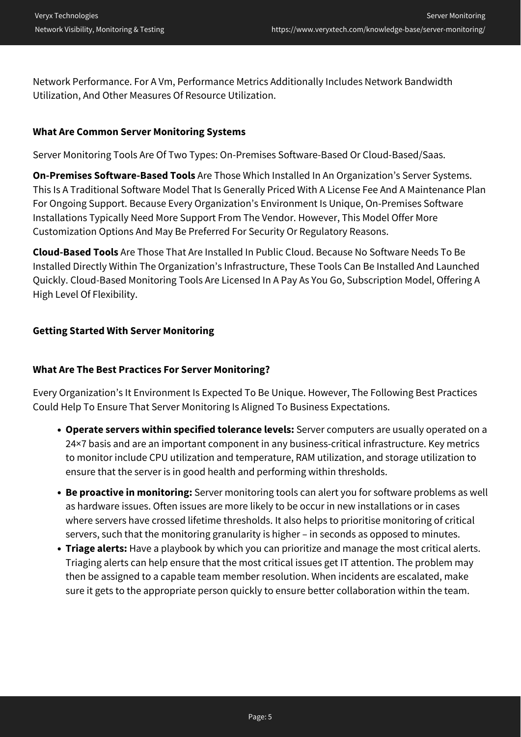Network Performance. For A Vm, Performance Metrics Additionally Includes Network Bandwidth Utilization, And Other Measures Of Resource Utilization.

### **What Are Common Server Monitoring Systems**

Server Monitoring Tools Are Of Two Types: On-Premises Software-Based Or Cloud-Based/Saas.

**On-Premises Software-Based Tools** Are Those Which Installed In An Organization's Server Systems. This Is A Traditional Software Model That Is Generally Priced With A License Fee And A Maintenance Plan For Ongoing Support. Because Every Organization's Environment Is Unique, On-Premises Software Installations Typically Need More Support From The Vendor. However, This Model Offer More Customization Options And May Be Preferred For Security Or Regulatory Reasons.

**Cloud-Based Tools** Are Those That Are Installed In Public Cloud. Because No Software Needs To Be Installed Directly Within The Organization's Infrastructure, These Tools Can Be Installed And Launched Quickly. Cloud-Based Monitoring Tools Are Licensed In A Pay As You Go, Subscription Model, Offering A High Level Of Flexibility.

#### **Getting Started With Server Monitoring**

#### **What Are The Best Practices For Server Monitoring?**

Every Organization's It Environment Is Expected To Be Unique. However, The Following Best Practices Could Help To Ensure That Server Monitoring Is Aligned To Business Expectations.

- **Operate servers within specified tolerance levels:** Server computers are usually operated on a 24×7 basis and are an important component in any business-critical infrastructure. Key metrics to monitor include CPU utilization and temperature, RAM utilization, and storage utilization to ensure that the server is in good health and performing within thresholds.
- **Be proactive in monitoring:** Server monitoring tools can alert you for software problems as well as hardware issues. Often issues are more likely to be occur in new installations or in cases where servers have crossed lifetime thresholds. It also helps to prioritise monitoring of critical servers, such that the monitoring granularity is higher – in seconds as opposed to minutes.
- **Triage alerts:** Have a playbook by which you can prioritize and manage the most critical alerts. Triaging alerts can help ensure that the most critical issues get IT attention. The problem may then be assigned to a capable team member resolution. When incidents are escalated, make sure it gets to the appropriate person quickly to ensure better collaboration within the team.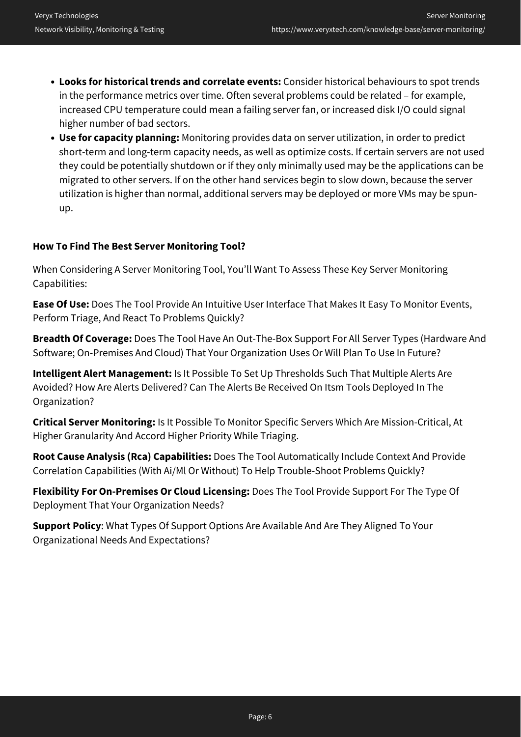- **Looks for historical trends and correlate events:** Consider historical behaviours to spot trends in the performance metrics over time. Often several problems could be related – for example, increased CPU temperature could mean a failing server fan, or increased disk I/O could signal higher number of bad sectors.
- **Use for capacity planning:** Monitoring provides data on server utilization, in order to predict short-term and long-term capacity needs, as well as optimize costs. If certain servers are not used they could be potentially shutdown or if they only minimally used may be the applications can be migrated to other servers. If on the other hand services begin to slow down, because the server utilization is higher than normal, additional servers may be deployed or more VMs may be spunup.

### **How To Find The Best Server Monitoring Tool?**

When Considering A Server Monitoring Tool, You'll Want To Assess These Key Server Monitoring Capabilities:

**Ease Of Use:** Does The Tool Provide An Intuitive User Interface That Makes It Easy To Monitor Events, Perform Triage, And React To Problems Quickly?

**Breadth Of Coverage:** Does The Tool Have An Out-The-Box Support For All Server Types (Hardware And Software; On-Premises And Cloud) That Your Organization Uses Or Will Plan To Use In Future?

**Intelligent Alert Management:** Is It Possible To Set Up Thresholds Such That Multiple Alerts Are Avoided? How Are Alerts Delivered? Can The Alerts Be Received On Itsm Tools Deployed In The Organization?

**Critical Server Monitoring:** Is It Possible To Monitor Specific Servers Which Are Mission-Critical, At Higher Granularity And Accord Higher Priority While Triaging.

**Root Cause Analysis (Rca) Capabilities:** Does The Tool Automatically Include Context And Provide Correlation Capabilities (With Ai/Ml Or Without) To Help Trouble-Shoot Problems Quickly?

**Flexibility For On-Premises Or Cloud Licensing:** Does The Tool Provide Support For The Type Of Deployment That Your Organization Needs?

**Support Policy**: What Types Of Support Options Are Available And Are They Aligned To Your Organizational Needs And Expectations?